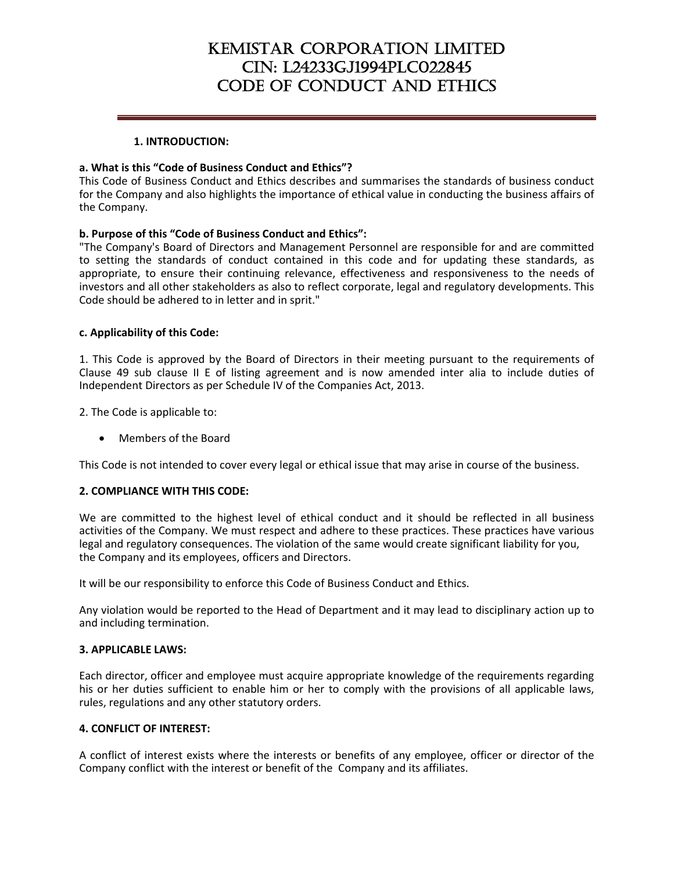# KEMISTAR CORPORATION LIMITED CIN: L24233GJ1994PLC022845 CODE OF CONDUCT AND ETHICS

#### **1. INTRODUCTION:**

#### **a. What is this "Code of Business Conduct and Ethics"?**

This Code of Business Conduct and Ethics describes and summarises the standards of business conduct for the Company and also highlights the importance of ethical value in conducting the business affairs of the Company.

## **b. Purpose of this "Code of Business Conduct and Ethics":**

"The Company's Board of Directors and Management Personnel are responsible for and are committed to setting the standards of conduct contained in this code and for updating these standards, as appropriate, to ensure their continuing relevance, effectiveness and responsiveness to the needs of investors and all other stakeholders as also to reflect corporate, legal and regulatory developments. This Code should be adhered to in letter and in sprit."

### **c. Applicability of this Code:**

1. This Code is approved by the Board of Directors in their meeting pursuant to the requirements of Clause 49 sub clause II E of listing agreement and is now amended inter alia to include duties of Independent Directors as per Schedule IV of the Companies Act, 2013.

2. The Code is applicable to:

• Members of the Board

This Code is not intended to cover every legal or ethical issue that may arise in course of the business.

#### **2. COMPLIANCE WITH THIS CODE:**

We are committed to the highest level of ethical conduct and it should be reflected in all business activities of the Company. We must respect and adhere to these practices. These practices have various legal and regulatory consequences. The violation of the same would create significant liability for you, the Company and its employees, officers and Directors.

It will be our responsibility to enforce this Code of Business Conduct and Ethics.

Any violation would be reported to the Head of Department and it may lead to disciplinary action up to and including termination.

#### **3. APPLICABLE LAWS:**

Each director, officer and employee must acquire appropriate knowledge of the requirements regarding his or her duties sufficient to enable him or her to comply with the provisions of all applicable laws, rules, regulations and any other statutory orders.

#### **4. CONFLICT OF INTEREST:**

A conflict of interest exists where the interests or benefits of any employee, officer or director of the Company conflict with the interest or benefit of the Company and its affiliates.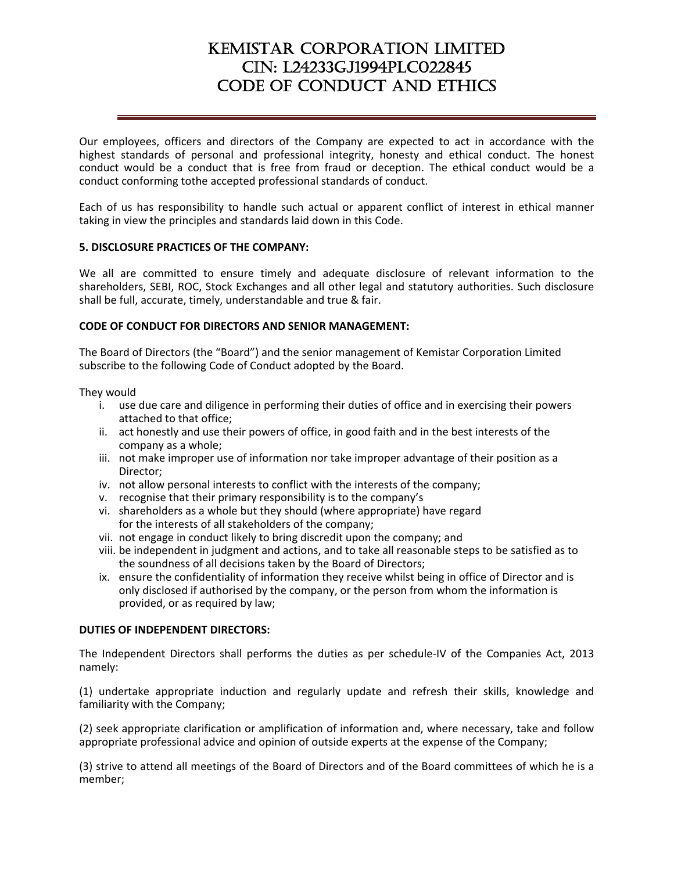# KEMISTAR CORPORATION LIMITED CIN: L24233GJ1994PLC022845 CODE OF CONDUCT AND ETHICS

Our employees, officers and directors of the Company are expected to act in accordance with the highest standards of personal and professional integrity, honesty and ethical conduct. The honest conduct would be a conduct that is free from fraud or deception. The ethical conduct would be a conduct conforming tothe accepted professional standards of conduct.

Each of us has responsibility to handle such actual or apparent conflict of interest in ethical manner taking in view the principles and standards laid down in this Code.

## **5. DISCLOSURE PRACTICES OF THE COMPANY:**

We all are committed to ensure timely and adequate disclosure of relevant information to the shareholders, SEBI, ROC, Stock Exchanges and all other legal and statutory authorities. Such disclosure shall be full, accurate, timely, understandable and true & fair.

### **CODE OF CONDUCT FOR DIRECTORS AND SENIOR MANAGEMENT:**

The Board of Directors (the "Board") and the senior management of Kemistar Corporation Limited subscribe to the following Code of Conduct adopted by the Board.

They would

- i. use due care and diligence in performing their duties of office and in exercising their powers attached to that office;
- ii. act honestly and use their powers of office, in good faith and in the best interests of the company as a whole;
- iii. not make improper use of information nor take improper advantage of their position as a Director;
- iv. not allow personal interests to conflict with the interests of the company;
- v. recognise that their primary responsibility is to the company's
- vi. shareholders as a whole but they should (where appropriate) have regard for the interests of all stakeholders of the company;
- vii. not engage in conduct likely to bring discredit upon the company; and
- viii. be independent in judgment and actions, and to take all reasonable steps to be satisfied as to the soundness of all decisions taken by the Board of Directors;
- ix. ensure the confidentiality of information they receive whilst being in office of Director and is only disclosed if authorised by the company, or the person from whom the information is provided, or as required by law;

#### **DUTIES OF INDEPENDENT DIRECTORS:**

The Independent Directors shall performs the duties as per schedule‐IV of the Companies Act, 2013 namely:

(1) undertake appropriate induction and regularly update and refresh their skills, knowledge and familiarity with the Company;

(2) seek appropriate clarification or amplification of information and, where necessary, take and follow appropriate professional advice and opinion of outside experts at the expense of the Company;

(3) strive to attend all meetings of the Board of Directors and of the Board committees of which he is a member;